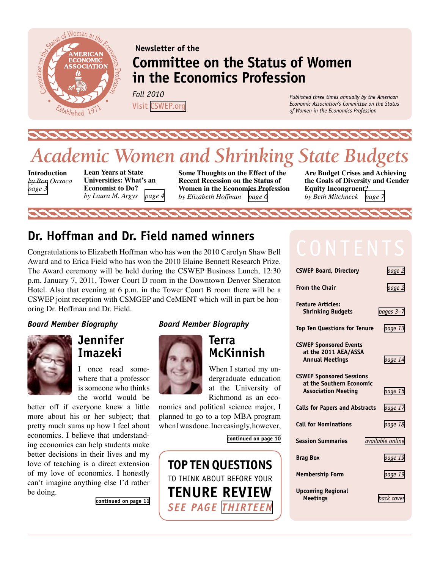

## **Newsletter of the Committee on the Status of Women in the Economics Profession**

*Fall 2010*  Visit [CSWEP.org](http://www.aeaweb.org/committees/cswep/)

*Published three times annually by the American Economic Association's Committee on the Status of Women in the Economics Profession*

# *Academic Women and Shrinking State Budgets*

22222

**Introduction**  *by Ron Oaxaca [page 3](#page-2-0)*

**Lean Years at State Universities: What's an Economist to Do?** *by Laura M. Argys [page 4](#page-3-0)*

**Some Thoughts on the Effect of the Recent Recession on the Status of Women in the Economics Profession** *by Elizabeth Hoffman [page 6](#page-5-0)*

**Are Budget Crises and Achieving the Goals of Diversity and Gender Equity Incongruent?** *by Beth Mitchneck [page 7](#page-6-0)*

## **Dr. Hoffman and Dr. Field named winners**

Congratulations to Elizabeth Hoffman who has won the 2010 Carolyn Shaw Bell Award and to Erica Field who has won the 2010 Elaine Bennett Research Prize. The Award ceremony will be held during the CSWEP Business Lunch, 12:30 p.m. January 7, 2011, Tower Court D room in the Downtown Denver Sheraton Hotel. Also that evening at 6 p.m. in the Tower Court B room there will be a CSWEP joint reception with CSMGEP and CeMENT which will in part be honoring Dr. Hoffman and Dr. Field.

#### <span id="page-0-1"></span>*Board Member Biography*



**Jennifer Imazeki**

I once read somewhere that a professor is someone who thinks the world would be

better off if everyone knew a little more about his or her subject; that pretty much sums up how I feel about economics. I believe that understanding economics can help students make better decisions in their lives and my love of teaching is a direct extension of my love of economics. I honestly can't imagine anything else I'd rather be doing.

**[continued on page 11](#page-10-0)**

#### <span id="page-0-0"></span>*Board Member Biography*



**Terra McKinnish**

When I started my undergraduate education at the University of Richmond as an eco-

nomics and political science major, I planned to go to a top MBA program when I was done. Increasingly, however,

**[continued on page 10](#page-9-0)**



| <b>CSWEP Board, Directory</b>                                                             | page 2           |
|-------------------------------------------------------------------------------------------|------------------|
| <b>From the Chair</b>                                                                     | page 2           |
| <b>Feature Articles:</b><br><b>Shrinking Budgets</b>                                      | pages 3-7        |
| <b>Top Ten Questions for Tenure</b>                                                       | page 13          |
| <b>CSWEP Sponsored Events</b><br>at the 2011 AEA/ASSA<br><b>Annual Meetings</b>           | page 14          |
| <b>CSWEP Sponsored Sessions</b><br>at the Southern Economic<br><b>Association Meeting</b> | page 16          |
| <b>Calls for Papers and Abstracts</b>                                                     | page 17          |
| <b>Call for Nominations</b>                                                               | page 18          |
| <b>Session Summaries</b>                                                                  | available online |
| <b>Brag Box</b>                                                                           | page 19          |
| <b>Membership Form</b>                                                                    | page 19          |
| <b>Upcoming Regional</b><br><b>Meetings</b>                                               | back cover       |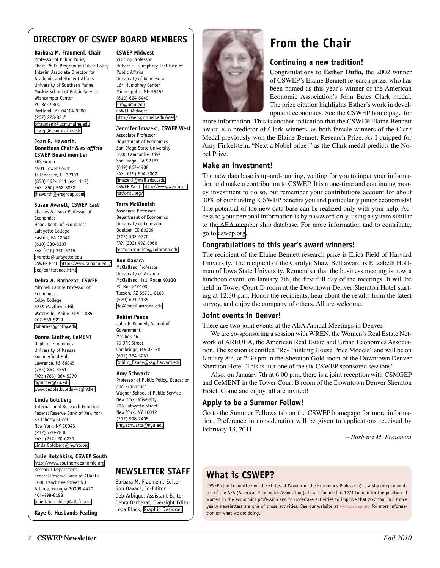### <span id="page-1-0"></span>**DIRECTORY OF CSWEP BOARD MEMBERS**

#### **Barbara M. Fraumeni, Chair**

Professor of Public Policy Chair, Ph.D. Program in Public Policy Interim Associate Director for Academic and Student Affairs University of Southern Maine Muskie School of Public Service Wishcamper Center PO Box 9300 Portland, ME 04104-9300 (207) 228-8245 [bfraumeni@usm.maine.edu](mailto:bfraumeni@usm.maine.edu) [cswep@usm.maine.edu](mailto:cswep@usm.maine.edu)

#### **Joan G. Haworth, Donations Chair &** *ex officio*  **CSWEP Board member**

ERS Group 4901 Tower Court Tallahassee, FL 32303 (850) 562-1211 (ext. 117) FAX (850) 562-3838 [jhaworth@ersgroup.com](mailto:jhaworth@ersgroup.com)

#### **Susan Averett, CSWEP East**

Charles A. Dana Professor of Economics Head, Dept. of Economics Lafayette College Easton, PA 18042 (610) 330-5307 FAX (610) 330-5715 [averetts@lafayette.edu](mailto:averetts@lafayette.edu) CSWEP East: [http://www.ramapo.edu/](http://www.ramapo.edu/eea/conference.html) [eea/conference.html](http://www.ramapo.edu/eea/conference.html)

#### **Debra A. Barbezat, CSWEP**

Mitchell Family Professor of Economics Colby College 5239 Mayflower Hill Waterville, Maine 04901-8852 207-859-5239 [dabarbez@colby.edu](mailto:dabarbez@colby.edu)

#### **Donna Ginther, CeMENT**

Dept. of Economics University of Kansas Summerfield Hall Lawrence, KS 66045 (785) 864-3251 FAX: (785) 864-5270 [dginther@ku.edu](mailto:dginther@ku.edu) [www.people.ku.edu/~dginther](http://www.people.ku.edu/~dginther)

#### **Linda Goldberg**

International Research Function Federal Reserve Bank of New York 33 Liberty Street New York, NY 10045 (212) 720-2836 FAX: (212) 20-6831 [Linda.Goldberg@ny.frb.org](mailto:Linda.Goldberg@ny.frb.org)

#### **Julie Hotchkiss, CSWEP South**

<http://www.southerneconomic.org> Research Department Federal Reserve Bank of Atlanta 1000 Peachtree Street N.E. Atlanta, Georgia 30309-4470 404-498-8198 [julie.l.hotchkiss@atl.frb.org](mailto:julie.l.hotchkiss@atl.frb.org)

**Kaye G. Husbands Fealing** 

#### **CSWEP Midwest**

Visiting Professor Hubert H. Humphrey Institute of Public Affairs University of Minnesota 164 Humphrey Center Minneapolis, MN 55455 (612) 624-6449 [khf@umn.edu](mailto:khf@umn.edu) CSWEP Midwest: <http://web.grinnell.edu/mea/>

#### **Jennifer Imazeki, CSWEP West**

Associate Professor Department of Economics San Diego State University 5500 Camponile Drive San Diego, CA 92187 (619) 867-4408 FAX (619) 594-5062 [jimazeki@mail.sdsu.edu](mailto:jimazeki@mail.sdsu.edu) CSWEP West: [http://www.weainter](http://www.weainternational.org/)[national.org/](http://www.weainternational.org/)

#### **Terra McKinnish**

Associate Professor Department of Economics University of Colorado Boulder, CO 80309 (303) 492-6770 FAX (303) 492-8960 [terra.mckinnish@colorado.edu](mailto:terra.mckinnish@colorado.edu)

#### **Ron Oaxaca**

McClelland Professor University of Arizona McClelland Hall, Room 401QQ PO Box 210108 Tucson, AZ 85721-0108 (520) 621-4135 [rlo@email.arizona.edu](mailto:rlo@email.arizona.edu)

#### **Rohini Pande**

John F. Kennedy School of Government Mailbox 46 79 JFK Street Cambridge, MA 02138 (617) 384-5267 [Rohini\\_Pande@ksg.harvard.edu](mailto:Rohini_Pande@ksg.harvard.edu)

#### **Amy Schwartz**

Professor of Public Policy, Education and Economics Wagner School of Public Service New York University 295 Lafayette Street New York, NY 10012 (212) 998-7405 [amy.schwartz@nyu.edu](mailto:amy.schwartz@nyu.edu)

### **NEWSLETTER STAFF**

Barbara M. Fraumeni, Editor Ron Oaxaca, Co-Editor Deb Arbique, Assistant Editor Debra Barbezat, Oversight Editor Leda Black, [Graphic Designer](http://lblackimp.com)



## **From the Chair**

#### **Continuing a new tradition!**

Congratulations to **Esther Duflo,** the 2002 winner of CSWEP's Elaine Bennett research prize, who has been named as this year's winner of the American Economic Association's John Bates Clark medal. The prize citation highlights Esther's work in development economics. See the CSWEP home page for

more information. This is another indication that the CSWEP Elaine Bennett award is a predictor of Clark winners, as both female winners of the Clark Medal previously won the Elaine Bennett Research Prize. As I quipped for Amy Finkelstein, "Next a Nobel prize!" as the Clark medal predicts the Nobel Prize.

#### **Make an investment!**

The new data base is up-and-running, waiting for you to input your information and make a contribution to CSWEP. It is a one-time and continuing money investment to do so, but remember your contributions account for about 30% of our funding. CSWEP benefits you and particularly junior economists! The potential of the new data base can be realized only with your help. Access to your personal information is by password only, using a system similar to the AEA member ship database. For more information and to contribute, go to [cswep.org.](https://www.aeaweb.org/committees/cswep/members/index.php?login)

#### **Congratulations to this year's award winners!**

The recipient of the Elaine Bennett research prize is Erica Field of Harvard University. The recipient of the Carolyn Shaw Bell award is Elizabeth Hoffman of Iowa State University. Remember that the business meeting is now a luncheon event, on January 7th, the first full day of the meetings. It will be held in Tower Court D room at the Downtown Denver Sheraton Hotel starting at 12:30 p.m. Honor the recipients, hear about the results from the latest survey, and enjoy the company of others. All are welcome.

#### **Joint events in Denver!**

There are two joint events at the AEA Annual Meetings in Denver.

We are co-sponsoring a session with WREN, the Women's Real Estate Network of AREUEA, the American Real Estate and Urban Economics Association. The session is entitled "Re-Thinking House Price Models" and will be on January 8th, at 2:30 pm in the Sheraton Gold room of the Downtown Denver Sheraton Hotel. This is just one of the six CSWEP sponsored sessions!

Also, on January 7th at 6:00 p.m. there is a joint reception with CSMGEP and CeMENT in the Tower Court B room of the Downtown Denver Sheraton Hotel. Come and enjoy, all are invited!

#### **Apply to be a Summer Fellow!**

Go to the Summer Fellows tab on the CSWEP homepage for more information. Preference in consideration will be given to applications received by February 18, 2011.

*—Barbara M. Fraumeni*

### **What is CSWEP?**

CSWEP (the Committee on the Status of Women in the Economics Profession) is a standing committee of the AEA (American Economics Association). It was founded in 1971 to monitor the position of women in the economics profession and to undertake activities to improve that position. Our thrice yearly newsletters are one of those activities. See our website at [www.cswep.org](http://www.cswep.org) for more information on what we are doing.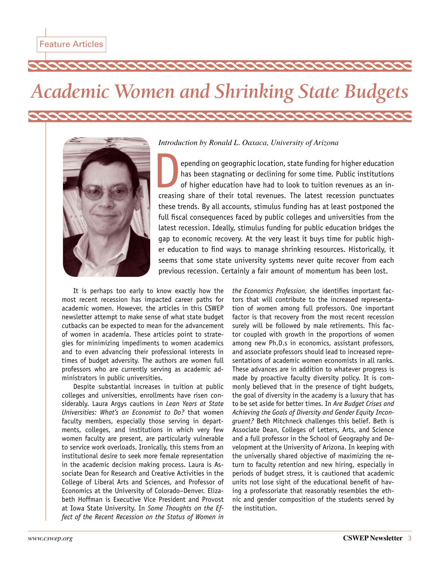# <span id="page-2-0"></span>*Academic Women and Shrinking State Budgets*



*Introduction by Ronald L. Oaxaca, University of Arizona*

epending on geographic location, state funding for higher education<br>has been stagnating or declining for some time. Public institutions<br>of higher education have had to look to tuition revenues as an in-<br>creasing share of t has been stagnating or declining for some time. Public institutions of higher education have had to look to tuition revenues as an increasing share of their total revenues. The latest recession punctuates these trends. By all accounts, stimulus funding has at least postponed the full fiscal consequences faced by public colleges and universities from the latest recession. Ideally, stimulus funding for public education bridges the gap to economic recovery. At the very least it buys time for public higher education to find ways to manage shrinking resources. Historically, it seems that some state university systems never quite recover from each previous recession. Certainly a fair amount of momentum has been lost.

It is perhaps too early to know exactly how the most recent recession has impacted career paths for academic women. However, the articles in this CSWEP newsletter attempt to make sense of what state budget cutbacks can be expected to mean for the advancement of women in academia. These articles point to strategies for minimizing impediments to women academics and to even advancing their professional interests in times of budget adversity. The authors are women full professors who are currently serving as academic administrators in public universities.

Despite substantial increases in tuition at public colleges and universities, enrollments have risen considerably. Laura Argys cautions in *Lean Years at State Universities: What's an Economist to Do?* that women faculty members, especially those serving in departments, colleges, and institutions in which very few women faculty are present, are particularly vulnerable to service work overloads. Ironically, this stems from an institutional desire to seek more female representation in the academic decision making process. Laura is Associate Dean for Research and Creative Activities in the College of Liberal Arts and Sciences, and Professor of Economics at the University of Colorado–Denver. Elizabeth Hoffman is Executive Vice President and Provost at Iowa State University. In *Some Thoughts on the Effect of the Recent Recession on the Status of Women in* 

*the Economics Profession,* she identifies important factors that will contribute to the increased representation of women among full professors. One important factor is that recovery from the most recent recession surely will be followed by male retirements. This factor coupled with growth in the proportions of women among new Ph.D.s in economics, assistant professors, and associate professors should lead to increased representations of academic women economists in all ranks. These advances are in addition to whatever progress is made by proactive faculty diversity policy. It is commonly believed that in the presence of tight budgets, the goal of diversity in the academy is a luxury that has to be set aside for better times. In *Are Budget Crises and Achieving the Goals of Diversity and Gender Equity Incongruent?* Beth Mitchneck challenges this belief. Beth is Associate Dean, Colleges of Letters, Arts, and Science and a full professor in the School of Geography and Development at the University of Arizona. In keeping with the universally shared objective of maximizing the return to faculty retention and new hiring, especially in periods of budget stress, it is cautioned that academic units not lose sight of the educational benefit of having a professoriate that reasonably resembles the ethnic and gender composition of the students served by the institution.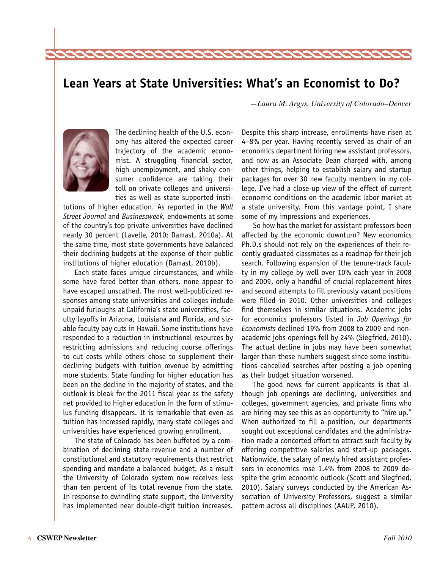## <span id="page-3-0"></span>**Lean Years at State Universities: What's an Economist to Do?**

*—Laura M. Argys, University of Colorado–Denver*



The declining health of the U.S. economy has altered the expected career trajectory of the academic economist. A struggling financial sector, high unemployment, and shaky consumer confidence are taking their toll on private colleges and universities as well as state supported insti-

tutions of higher education. As reported in the *Wall Street Journal* and *Businessweek,* endowments at some of the country's top private universities have declined nearly 30 percent (Lavelle, 2010; Damast, 2010a). At the same time, most state governments have balanced their declining budgets at the expense of their public institutions of higher education (Damast, 2010b).

Each state faces unique circumstances, and while some have fared better than others, none appear to have escaped unscathed. The most well-publicized responses among state universities and colleges include unpaid furloughs at California's state universities, faculty layoffs in Arizona, Louisiana and Florida, and sizable faculty pay cuts in Hawaii. Some institutions have responded to a reduction in instructional resources by restricting admissions and reducing course offerings to cut costs while others chose to supplement their declining budgets with tuition revenue by admitting more students. State funding for higher education has been on the decline in the majority of states, and the outlook is bleak for the 2011 fiscal year as the safety net provided to higher education in the form of stimulus funding disappears. It is remarkable that even as tuition has increased rapidly, many state colleges and universities have experienced growing enrollment.

The state of Colorado has been buffeted by a combination of declining state revenue and a number of constitutional and statutory requirements that restrict spending and mandate a balanced budget. As a result the University of Colorado system now receives less than ten percent of its total revenue from the state. In response to dwindling state support, the University has implemented near double-digit tuition increases.

Despite this sharp increase, enrollments have risen at 4–8% per year. Having recently served as chair of an economics department hiring new assistant professors, and now as an Associate Dean charged with, among other things, helping to establish salary and startup packages for over 30 new faculty members in my college, I've had a close-up view of the effect of current economic conditions on the academic labor market at a state university. From this vantage point, I share some of my impressions and experiences.

So how has the market for assistant professors been affected by the economic downturn? New economics Ph.D.s should not rely on the experiences of their recently graduated classmates as a roadmap for their job search. Following expansion of the tenure-track faculty in my college by well over 10% each year in 2008 and 2009, only a handful of crucial replacement hires and second attempts to fill previously vacant positions were filled in 2010. Other universities and colleges find themselves in similar situations. Academic jobs for economics professors listed in *Job Openings for Economists* declined 19% from 2008 to 2009 and nonacademic jobs openings fell by 24% (Siegfried, 2010). The actual decline in jobs may have been somewhat larger than these numbers suggest since some institutions cancelled searches after posting a job opening as their budget situation worsened.

The good news for current applicants is that although job openings are declining, universities and colleges, government agencies, and private firms who are hiring may see this as an opportunity to "hire up." When authorized to fill a position, our departments sought out exceptional candidates and the administration made a concerted effort to attract such faculty by offering competitive salaries and start-up packages. Nationwide, the salary of newly hired assistant professors in economics rose 1.4% from 2008 to 2009 despite the grim economic outlook (Scott and Siegfried, 2010). Salary surveys conducted by the American Association of University Professors, suggest a similar pattern across all disciplines (AAUP, 2010).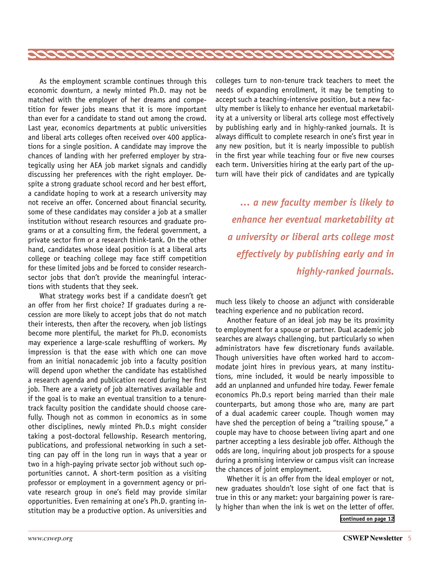<span id="page-4-0"></span>

As the employment scramble continues through this economic downturn, a newly minted Ph.D. may not be matched with the employer of her dreams and competition for fewer jobs means that it is more important than ever for a candidate to stand out among the crowd. Last year, economics departments at public universities and liberal arts colleges often received over 400 applications for a single position. A candidate may improve the chances of landing with her preferred employer by strategically using her AEA job market signals and candidly discussing her preferences with the right employer. Despite a strong graduate school record and her best effort, a candidate hoping to work at a research university may not receive an offer. Concerned about financial security, some of these candidates may consider a job at a smaller institution without research resources and graduate programs or at a consulting firm, the federal government, a private sector firm or a research think-tank. On the other hand, candidates whose ideal position is at a liberal arts college or teaching college may face stiff competition for these limited jobs and be forced to consider researchsector jobs that don't provide the meaningful interactions with students that they seek.

What strategy works best if a candidate doesn't get an offer from her first choice? If graduates during a recession are more likely to accept jobs that do not match their interests, then after the recovery, when job listings become more plentiful, the market for Ph.D. economists may experience a large-scale reshuffling of workers. My impression is that the ease with which one can move from an initial nonacademic job into a faculty position will depend upon whether the candidate has established a research agenda and publication record during her first job. There are a variety of job alternatives available and if the goal is to make an eventual transition to a tenuretrack faculty position the candidate should choose carefully. Though not as common in economics as in some other disciplines, newly minted Ph.D.s might consider taking a post-doctoral fellowship. Research mentoring, publications, and professional networking in such a setting can pay off in the long run in ways that a year or two in a high-paying private sector job without such opportunities cannot. A short-term position as a visiting professor or employment in a government agency or private research group in one's field may provide similar opportunities. Even remaining at one's Ph.D. granting institution may be a productive option. As universities and

colleges turn to non-tenure track teachers to meet the needs of expanding enrollment, it may be tempting to accept such a teaching-intensive position, but a new faculty member is likely to enhance her eventual marketability at a university or liberal arts college most effectively by publishing early and in highly-ranked journals. It is always difficult to complete research in one's first year in any new position, but it is nearly impossible to publish in the first year while teaching four or five new courses each term. Universities hiring at the early part of the upturn will have their pick of candidates and are typically

*… a new faculty member is likely to enhance her eventual marketability at a university or liberal arts college most effectively by publishing early and in highly-ranked journals.*

much less likely to choose an adjunct with considerable teaching experience and no publication record.

Another feature of an ideal job may be its proximity to employment for a spouse or partner. Dual academic job searches are always challenging, but particularly so when administrators have few discretionary funds available. Though universities have often worked hard to accommodate joint hires in previous years, at many institutions, mine included, it would be nearly impossible to add an unplanned and unfunded hire today. Fewer female economics Ph.D.s report being married than their male counterparts, but among those who are, many are part of a dual academic career couple. Though women may have shed the perception of being a "trailing spouse," a couple may have to choose between living apart and one partner accepting a less desirable job offer. Although the odds are long, inquiring about job prospects for a spouse during a promising interview or campus visit can increase the chances of joint employment.

Whether it is an offer from the ideal employer or not, new graduates shouldn't lose sight of one fact that is true in this or any market: your bargaining power is rarely higher than when the ink is wet on the letter of offer.

**[continued on page 12](#page-11-0)**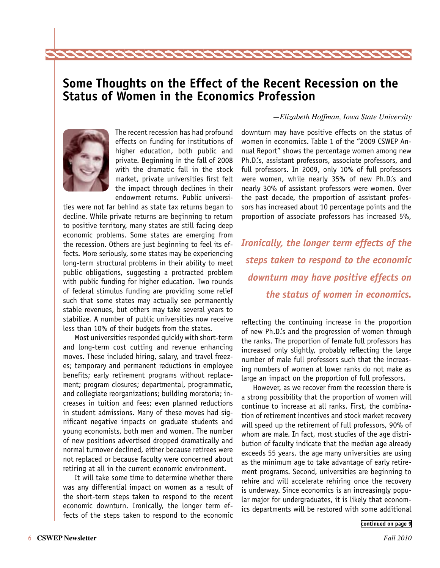## <span id="page-5-0"></span>**Some Thoughts on the Effect of the Recent Recession on the Status of Women in the Economics Profession**

222222222222222



The recent recession has had profound effects on funding for institutions of higher education, both public and private. Beginning in the fall of 2008 with the dramatic fall in the stock market, private universities first felt the impact through declines in their endowment returns. Public universi-

ties were not far behind as state tax returns began to decline. While private returns are beginning to return to positive territory, many states are still facing deep economic problems. Some states are emerging from the recession. Others are just beginning to feel its effects. More seriously, some states may be experiencing long-term structural problems in their ability to meet public obligations, suggesting a protracted problem with public funding for higher education. Two rounds of federal stimulus funding are providing some relief such that some states may actually see permanently stable revenues, but others may take several years to stabilize. A number of public universities now receive less than 10% of their budgets from the states.

Most universities responded quickly with short-term and long-term cost cutting and revenue enhancing moves. These included hiring, salary, and travel freezes; temporary and permanent reductions in employee benefits; early retirement programs without replacement; program closures; departmental, programmatic, and collegiate reorganizations; building moratoria; increases in tuition and fees; even planned reductions in student admissions. Many of these moves had significant negative impacts on graduate students and young economists, both men and women. The number of new positions advertised dropped dramatically and normal turnover declined, either because retirees were not replaced or because faculty were concerned about retiring at all in the current economic environment.

It will take some time to determine whether there was any differential impact on women as a result of the short-term steps taken to respond to the recent economic downturn. Ironically, the longer term effects of the steps taken to respond to the economic

#### *—Elizabeth Hoffman, Iowa State University*

downturn may have positive effects on the status of women in economics. Table 1 of the "2009 CSWEP Annual Report" shows the percentage women among new Ph.D.'s, assistant professors, associate professors, and full professors. In 2009, only 10% of full professors were women, while nearly 35% of new Ph.D.'s and nearly 30% of assistant professors were women. Over the past decade, the proportion of assistant professors has increased about 10 percentage points and the proportion of associate professors has increased 5%,

*Ironically, the longer term effects of the steps taken to respond to the economic downturn may have positive effects on the status of women in economics.*

reflecting the continuing increase in the proportion of new Ph.D.'s and the progression of women through the ranks. The proportion of female full professors has increased only slightly, probably reflecting the large number of male full professors such that the increasing numbers of women at lower ranks do not make as large an impact on the proportion of full professors.

However, as we recover from the recession there is a strong possibility that the proportion of women will continue to increase at all ranks. First, the combination of retirement incentives and stock market recovery will speed up the retirement of full professors, 90% of whom are male. In fact, most studies of the age distribution of faculty indicate that the median age already exceeds 55 years, the age many universities are using as the minimum age to take advantage of early retirement programs. Second, universities are beginning to rehire and will accelerate rehiring once the recovery is underway. Since economics is an increasingly popular major for undergraduates, it is likely that economics departments will be restored with some additional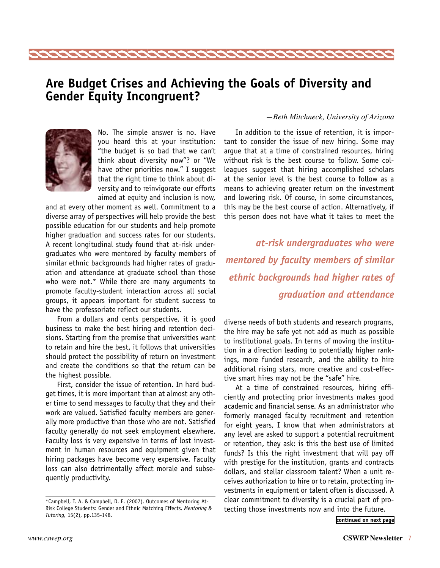## <span id="page-6-0"></span>**Are Budget Crises and Achieving the Goals of Diversity and Gender Equity Incongruent?**



No. The simple answer is no. Have you heard this at your institution: "the budget is so bad that we can't think about diversity now"? or "We have other priorities now." I suggest that the right time to think about diversity and to reinvigorate our efforts aimed at equity and inclusion is now,

222222222222222

and at every other moment as well. Commitment to a diverse array of perspectives will help provide the best possible education for our students and help promote higher graduation and success rates for our students. A recent longitudinal study found that at-risk undergraduates who were mentored by faculty members of similar ethnic backgrounds had higher rates of graduation and attendance at graduate school than those who were not.\* While there are many arguments to promote faculty-student interaction across all social groups, it appears important for student success to have the professoriate reflect our students.

From a dollars and cents perspective, it is good business to make the best hiring and retention decisions. Starting from the premise that universities want to retain and hire the best, it follows that universities should protect the possibility of return on investment and create the conditions so that the return can be the highest possible.

First, consider the issue of retention. In hard budget times, it is more important than at almost any other time to send messages to faculty that they and their work are valued. Satisfied faculty members are generally more productive than those who are not. Satisfied faculty generally do not seek employment elsewhere. Faculty loss is very expensive in terms of lost investment in human resources and equipment given that hiring packages have become very expensive. Faculty loss can also detrimentally affect morale and subsequently productivity.

#### *—Beth Mitchneck, University of Arizona*

In addition to the issue of retention, it is important to consider the issue of new hiring. Some may argue that at a time of constrained resources, hiring without risk is the best course to follow. Some colleagues suggest that hiring accomplished scholars at the senior level is the best course to follow as a means to achieving greater return on the investment and lowering risk. Of course, in some circumstances, this may be the best course of action. Alternatively, if this person does not have what it takes to meet the

*at-risk undergraduates who were mentored by faculty members of similar ethnic backgrounds had higher rates of graduation and attendance*

diverse needs of both students and research programs, the hire may be safe yet not add as much as possible to institutional goals. In terms of moving the institution in a direction leading to potentially higher rankings, more funded research, and the ability to hire additional rising stars, more creative and cost-effective smart hires may not be the "safe" hire.

At a time of constrained resources, hiring efficiently and protecting prior investments makes good academic and financial sense. As an administrator who formerly managed faculty recruitment and retention for eight years, I know that when administrators at any level are asked to support a potential recruitment or retention, they ask: is this the best use of limited funds? Is this the right investment that will pay off with prestige for the institution, grants and contracts dollars, and stellar classroom talent? When a unit receives authorization to hire or to retain, protecting investments in equipment or talent often is discussed. A clear commitment to diversity is a crucial part of protecting those investments now and into the future.

**[continued on next page](#page-7-0)**

<sup>\*</sup>Campbell, T. A. & Campbell, D. E. (2007). Outcomes of Mentoring At-Risk College Students: Gender and Ethnic Matching Effects. *Mentoring & Tutoring,* 15(2), pp.135-148.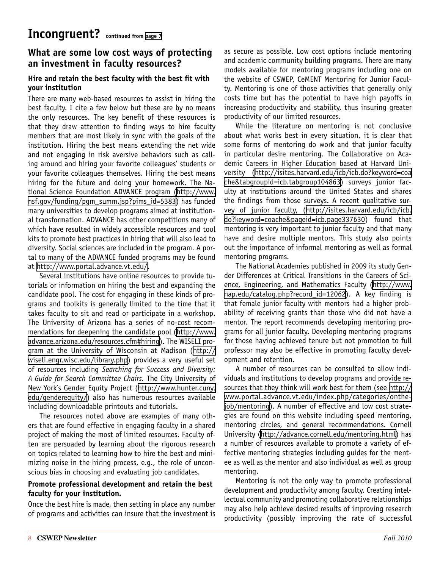### <span id="page-7-0"></span>**What are some low cost ways of protecting an investment in faculty resources?**

#### **Hire and retain the best faculty with the best fit with your institution**

There are many web-based resources to assist in hiring the best faculty. I cite a few below but these are by no means the only resources. The key benefit of these resources is that they draw attention to finding ways to hire faculty members that are most likely in sync with the goals of the institution. Hiring the best means extending the net wide and not engaging in risk aversive behaviors such as calling around and hiring your favorite colleagues' students or your favorite colleagues themselves. Hiring the best means hiring for the future and doing your homework. The National Science Foundation ADVANCE program ([http://www.](http://www.nsf.gov/funding/pgm_summ.jsp?pims_id=5383) [nsf.gov/funding/pgm\\_summ.jsp?pims\\_id=5383\)](http://www.nsf.gov/funding/pgm_summ.jsp?pims_id=5383) has funded many universities to develop programs aimed at institutional transformation. ADVANCE has other competitions many of which have resulted in widely accessible resources and tool kits to promote best practices in hiring that will also lead to diversity. Social sciences are included in the program. A portal to many of the ADVANCE funded programs may be found at [http://www.portal.advance.vt.edu/.](http://www.portal.advance.vt.edu/)

Several institutions have online resources to provide tutorials or information on hiring the best and expanding the candidate pool. The cost for engaging in these kinds of programs and toolkits is generally limited to the time that it takes faculty to sit and read or participate in a workshop. The University of Arizona has a series of no-cost recommendations for deepening the candidate pool ([http://www.](http://www.advance.arizona.edu/resources.cfm#hiring) [advance.arizona.edu/resources.cfm#hiring](http://www.advance.arizona.edu/resources.cfm#hiring)). The WISELI program at the University of Wisconsin at Madison ([http://](http://wiseli.engr.wisc.edu/library.php) [wiseli.engr.wisc.edu/library.php\)](http://wiseli.engr.wisc.edu/library.php) provides a very useful set of resources including *Searching for Success and Diversity: A Guide for Search Committee Chairs.* The City University of New York's Gender Equity Project [\(http://www.hunter.cuny.](http://www.hunter.cuny.edu/genderequity/) [edu/genderequity/\)](http://www.hunter.cuny.edu/genderequity/) also has numerous resources available including downloadable printouts and tutorials.

The resources noted above are examples of many others that are found effective in engaging faculty in a shared project of making the most of limited resources. Faculty often are persuaded by learning about the rigorous research on topics related to learning how to hire the best and minimizing noise in the hiring process, e.g., the role of unconscious bias in choosing and evaluating job candidates.

#### **Promote professional development and retain the best faculty for your institution.**

Once the best hire is made, then setting in place any number of programs and activities can insure that the investment is

as secure as possible. Low cost options include mentoring and academic community building programs. There are many models available for mentoring programs including one on the website of CSWEP, CeMENT Mentoring for Junior Faculty. Mentoring is one of those activities that generally only costs time but has the potential to have high payoffs in increasing productivity and stability, thus insuring greater productivity of our limited resources.

While the literature on mentoring is not conclusive about what works best in every situation, it is clear that some forms of mentoring do work and that junior faculty in particular desire mentoring. The Collaborative on Academic Careers in Higher Education based at Harvard University ([http://isites.harvard.edu/icb/icb.do?keyword=coa](http://isites.harvard.edu/icb/icb.do?keyword=coache&tabgroupid=icb.tabgroup104863) [che&tabgroupid=icb.tabgroup104863\)](http://isites.harvard.edu/icb/icb.do?keyword=coache&tabgroupid=icb.tabgroup104863) surveys junior faculty at institutions around the United States and shares the findings from those surveys. A recent qualitative survey of junior faculty, ([http://isites.harvard.edu/icb/icb.](http://isites.harvard.edu/icb/icb.do?keyword=coache&pageid=icb.page337630) [do?keyword=coache&pageid=icb.page337630](http://isites.harvard.edu/icb/icb.do?keyword=coache&pageid=icb.page337630)) found that mentoring is very important to junior faculty and that many have and desire multiple mentors. This study also points out the importance of informal mentoring as well as formal mentoring programs.

The National Academies published in 2009 its study Gender Differences at Critical Transitions in the Careers of Science, Engineering, and Mathematics Faculty ([http://www.](http://www.nap.edu/catalog.php?record_id=12062) [nap.edu/catalog.php?record\\_id=12062](http://www.nap.edu/catalog.php?record_id=12062)). A key finding is that female junior faculty with mentors had a higher probability of receiving grants than those who did not have a mentor. The report recommends developing mentoring programs for all junior faculty. Developing mentoring programs for those having achieved tenure but not promotion to full professor may also be effective in promoting faculty development and retention.

A number of resources can be consulted to allow individuals and institutions to develop programs and provide resources that they think will work best for them (see [http://](http://www.portal.advance.vt.edu/index.php/categories/onthejob/mentoring) [www.portal.advance.vt.edu/index.php/categories/onthe](http://www.portal.advance.vt.edu/index.php/categories/onthejob/mentoring)[job/mentoring](http://www.portal.advance.vt.edu/index.php/categories/onthejob/mentoring)). A number of effective and low cost strategies are found on this website including speed mentoring, mentoring circles, and general recommendations. Cornell University (<http://advance.cornell.edu/mentoring.html>) has a number of resources available to promote a variety of effective mentoring strategies including guides for the mentee as well as the mentor and also individual as well as group mentoring.

Mentoring is not the only way to promote professional development and productivity among faculty. Creating intellectual community and promoting collaborative relationships may also help achieve desired results of improving research productivity (possibly improving the rate of successful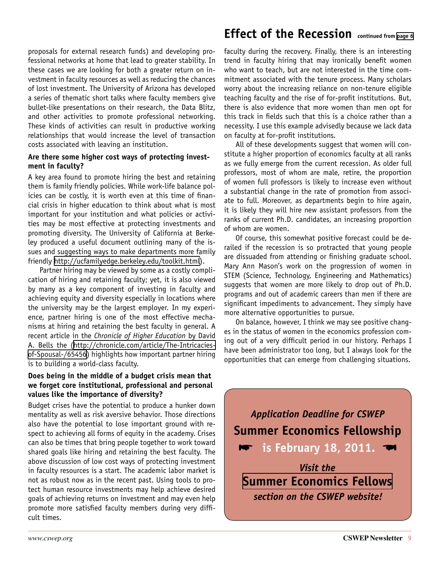proposals for external research funds) and developing professional networks at home that lead to greater stability. In these cases we are looking for both a greater return on investment in faculty resources as well as reducing the chances of lost investment. The University of Arizona has developed a series of thematic short talks where faculty members give bullet-like presentations on their research, the Data Blitz, and other activities to promote professional networking. These kinds of activities can result in productive working relationships that would increase the level of transaction costs associated with leaving an institution.

#### **Are there some higher cost ways of protecting investment in faculty?**

A key area found to promote hiring the best and retaining them is family friendly policies. While work-life balance policies can be costly, it is worth even at this time of financial crisis in higher education to think about what is most important for your institution and what policies or activities may be most effective at protecting investments and promoting diversity. The University of California at Berkeley produced a useful document outlining many of the issues and suggesting ways to make departments more family friendly [http://ucfamilyedge.berkeley.edu/toolkit.html\)](http://ucfamilyedge.berkeley.edu/toolkit.html).

Partner hiring may be viewed by some as a costly complication of hiring and retaining faculty; yet, it is also viewed by many as a key component of investing in faculty and achieving equity and diversity especially in locations where the university may be the largest employer. In my experience, partner hiring is one of the most effective mechanisms at hiring and retaining the best faculty in general. A recent article in the *Chronicle of Higher Education* by David A. Bells the [\(http://chronicle.com/article/The-Intricacies](http://chronicle.com/article/The-Intricacies-of-Spousal-/65456)[of-Spousal-/65456\)](http://chronicle.com/article/The-Intricacies-of-Spousal-/65456) highlights how important partner hiring is to building a world-class faculty.

#### **Does being in the middle of a budget crisis mean that we forget core institutional, professional and personal values like the importance of diversity?**

Budget crises have the potential to produce a hunker down mentality as well as risk aversive behavior. Those directions also have the potential to lose important ground with respect to achieving all forms of equity in the academy. Crises can also be times that bring people together to work toward shared goals like hiring and retaining the best faculty. The above discussion of low cost ways of protecting investment in faculty resources is a start. The academic labor market is not as robust now as in the recent past. Using tools to protect human resource investments may help achieve desired goals of achieving returns on investment and may even help promote more satisfied faculty members during very difficult times.

## <span id="page-8-0"></span>**Effect of the Recession continued from [page 6](#page-5-0)**

faculty during the recovery. Finally, there is an interesting trend in faculty hiring that may ironically benefit women who want to teach, but are not interested in the time commitment associated with the tenure process. Many scholars worry about the increasing reliance on non-tenure eligible teaching faculty and the rise of for-profit institutions. But, there is also evidence that more women than men opt for this track in fields such that this is a choice rather than a necessity. I use this example advisedly because we lack data on faculty at for-profit institutions.

All of these developments suggest that women will constitute a higher proportion of economics faculty at all ranks as we fully emerge from the current recession. As older full professors, most of whom are male, retire, the proportion of women full professors is likely to increase even without a substantial change in the rate of promotion from associate to full. Moreover, as departments begin to hire again, it is likely they will hire new assistant professors from the ranks of current Ph.D. candidates, an increasing proportion of whom are women.

Of course, this somewhat positive forecast could be derailed if the recession is so protracted that young people are dissuaded from attending or finishing graduate school. Mary Ann Mason's work on the progression of women in STEM (Science, Technology, Engineering and Mathematics) suggests that women are more likely to drop out of Ph.D. programs and out of academic careers than men if there are significant impediments to advancement. They simply have more alternative opportunities to pursue.

On balance, however, I think we may see positive changes in the status of women in the economics profession coming out of a very difficult period in our history. Perhaps I have been administrator too long, but I always look for the opportunities that can emerge from challenging situations.

*Application Deadline for CSWEP* **Summer Economics Fellowship is February 18, 2011.** 

*Visit the*  **[Summer Economics Fellows](http://www.aeaweb.org/committees/cswep/summerfellows/)** *section on the CSWEP website!*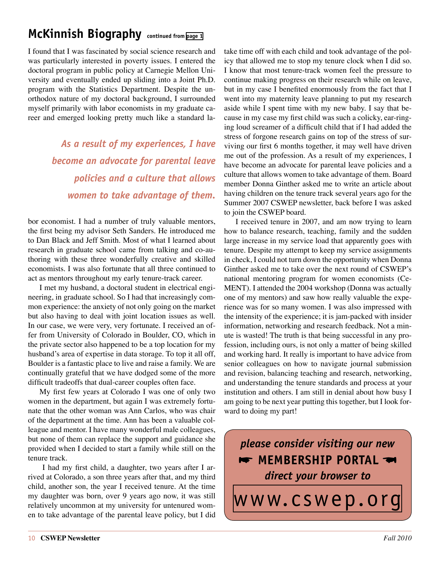## <span id="page-9-0"></span>**McKinnish Biography continued from [page 1](#page-0-0)**

I found that I was fascinated by social science research and was particularly interested in poverty issues. I entered the doctoral program in public policy at Carnegie Mellon University and eventually ended up sliding into a Joint Ph.D. program with the Statistics Department. Despite the unorthodox nature of my doctoral background, I surrounded myself primarily with labor economists in my graduate career and emerged looking pretty much like a standard la-

> *As a result of my experiences, I have become an advocate for parental leave policies and a culture that allows women to take advantage of them.*

bor economist. I had a number of truly valuable mentors, the first being my advisor Seth Sanders. He introduced me to Dan Black and Jeff Smith. Most of what I learned about research in graduate school came from talking and co-authoring with these three wonderfully creative and skilled economists. I was also fortunate that all three continued to act as mentors throughout my early tenure-track career.

I met my husband, a doctoral student in electrical engineering, in graduate school. So I had that increasingly common experience: the anxiety of not only going on the market but also having to deal with joint location issues as well. In our case, we were very, very fortunate. I received an offer from University of Colorado in Boulder, CO, which in the private sector also happened to be a top location for my husband's area of expertise in data storage. To top it all off, Boulder is a fantastic place to live and raise a family. We are continually grateful that we have dodged some of the more difficult tradeoffs that dual-career couples often face.

My first few years at Colorado I was one of only two women in the department, but again I was extremely fortunate that the other woman was Ann Carlos, who was chair of the department at the time. Ann has been a valuable colleague and mentor. I have many wonderful male colleagues, but none of them can replace the support and guidance she provided when I decided to start a family while still on the tenure track.

 I had my first child, a daughter, two years after I arrived at Colorado, a son three years after that, and my third child, another son, the year I received tenure. At the time my daughter was born, over 9 years ago now, it was still relatively uncommon at my university for untenured women to take advantage of the parental leave policy, but I did take time off with each child and took advantage of the policy that allowed me to stop my tenure clock when I did so. I know that most tenure-track women feel the pressure to continue making progress on their research while on leave, but in my case I benefited enormously from the fact that I went into my maternity leave planning to put my research aside while I spent time with my new baby. I say that because in my case my first child was such a colicky, ear-ringing loud screamer of a difficult child that if I had added the stress of forgone research gains on top of the stress of surviving our first 6 months together, it may well have driven me out of the profession. As a result of my experiences, I have become an advocate for parental leave policies and a culture that allows women to take advantage of them. Board member Donna Ginther asked me to write an article about having children on the tenure track several years ago for the Summer 2007 CSWEP newsletter, back before I was asked to join the CSWEP board.

I received tenure in 2007, and am now trying to learn how to balance research, teaching, family and the sudden large increase in my service load that apparently goes with tenure. Despite my attempt to keep my service assignments in check, I could not turn down the opportunity when Donna Ginther asked me to take over the next round of CSWEP's national mentoring program for women economists (Ce-MENT). I attended the 2004 workshop (Donna was actually one of my mentors) and saw how really valuable the experience was for so many women. I was also impressed with the intensity of the experience; it is jam-packed with insider information, networking and research feedback. Not a minute is wasted! The truth is that being successful in any profession, including ours, is not only a matter of being skilled and working hard. It really is important to have advice from senior colleagues on how to navigate journal submission and revision, balancing teaching and research, networking, and understanding the tenure standards and process at your institution and others. I am still in denial about how busy I am going to be next year putting this together, but I look forward to doing my part!

*please consider visiting our new* **\*** MEMBERSHIP PORTAL *direct your browser to*

[www.cswep.org](http://www.aeaweb.org/committees/cswep/)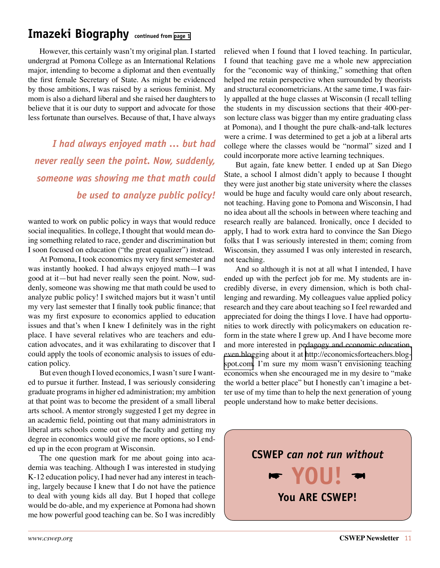## <span id="page-10-0"></span>**Imazeki Biography continued from [page 1](#page-0-1)**

However, this certainly wasn't my original plan. I started undergrad at Pomona College as an International Relations major, intending to become a diplomat and then eventually the first female Secretary of State. As might be evidenced by those ambitions, I was raised by a serious feminist. My mom is also a diehard liberal and she raised her daughters to believe that it is our duty to support and advocate for those less fortunate than ourselves. Because of that, I have always

*I had always enjoyed math … but had never really seen the point. Now, suddenly, someone was showing me that math could be used to analyze public policy!*

wanted to work on public policy in ways that would reduce social inequalities. In college, I thought that would mean doing something related to race, gender and discrimination but I soon focused on education ("the great equalizer") instead.

At Pomona, I took economics my very first semester and was instantly hooked. I had always enjoyed math—I was good at it—but had never really seen the point. Now, suddenly, someone was showing me that math could be used to analyze public policy! I switched majors but it wasn't until my very last semester that I finally took public finance; that was my first exposure to economics applied to education issues and that's when I knew I definitely was in the right place. I have several relatives who are teachers and education advocates, and it was exhilarating to discover that I could apply the tools of economic analysis to issues of education policy.

But even though I loved economics, I wasn't sure I wanted to pursue it further. Instead, I was seriously considering graduate programs in higher ed administration; my ambition at that point was to become the president of a small liberal arts school. A mentor strongly suggested I get my degree in an academic field, pointing out that many administrators in liberal arts schools come out of the faculty and getting my degree in economics would give me more options, so I ended up in the econ program at Wisconsin.

The one question mark for me about going into academia was teaching. Although I was interested in studying K-12 education policy, I had never had any interest in teaching, largely because I knew that I do not have the patience to deal with young kids all day. But I hoped that college would be do-able, and my experience at Pomona had shown me how powerful good teaching can be. So I was incredibly relieved when I found that I loved teaching. In particular, I found that teaching gave me a whole new appreciation for the "economic way of thinking," something that often helped me retain perspective when surrounded by theorists and structural econometricians. At the same time, I was fairly appalled at the huge classes at Wisconsin (I recall telling the students in my discussion sections that their 400-person lecture class was bigger than my entire graduating class at Pomona), and I thought the pure chalk-and-talk lectures were a crime. I was determined to get a job at a liberal arts college where the classes would be "normal" sized and I could incorporate more active learning techniques.

But again, fate knew better. I ended up at San Diego State, a school I almost didn't apply to because I thought they were just another big state university where the classes would be huge and faculty would care only about research, not teaching. Having gone to Pomona and Wisconsin, I had no idea about all the schools in between where teaching and research really are balanced. Ironically, once I decided to apply, I had to work extra hard to convince the San Diego folks that I was seriously interested in them; coming from Wisconsin, they assumed I was only interested in research, not teaching.

And so although it is not at all what I intended, I have ended up with the perfect job for me. My students are incredibly diverse, in every dimension, which is both challenging and rewarding. My colleagues value applied policy research and they care about teaching so I feel rewarded and appreciated for doing the things I love. I have had opportunities to work directly with policymakers on education reform in the state where I grew up. And I have become more and more interested in pedagogy and economic education, even blogging about it at [http://economicsforteachers.blog](http://economicsforteachers.blogspot.com)[spot.com](http://economicsforteachers.blogspot.com). I'm sure my mom wasn't envisioning teaching economics when she encouraged me in my desire to "make the world a better place" but I honestly can't imagine a better use of my time than to help the next generation of young people understand how to make better decisions.

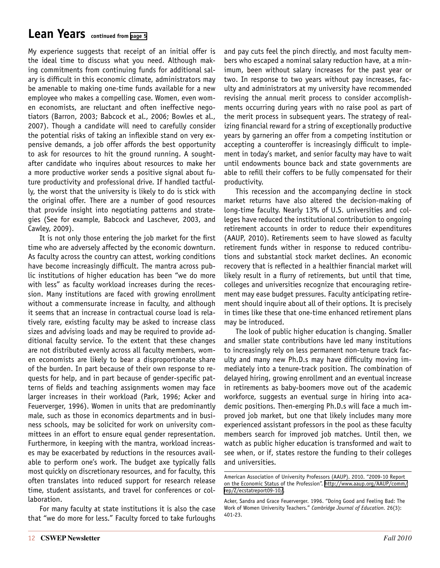## <span id="page-11-0"></span>**Lean Years continued from [page 5](#page-4-0)**

My experience suggests that receipt of an initial offer is the ideal time to discuss what you need. Although making commitments from continuing funds for additional salary is difficult in this economic climate, administrators may be amenable to making one-time funds available for a new employee who makes a compelling case. Women, even women economists, are reluctant and often ineffective negotiators (Barron, 2003; Babcock et al., 2006; Bowles et al., 2007). Though a candidate will need to carefully consider the potential risks of taking an inflexible stand on very expensive demands, a job offer affords the best opportunity to ask for resources to hit the ground running. A soughtafter candidate who inquires about resources to make her a more productive worker sends a positive signal about future productivity and professional drive. If handled tactfully, the worst that the university is likely to do is stick with the original offer. There are a number of good resources that provide insight into negotiating patterns and strategies (See for example, Babcock and Laschever, 2003, and Cawley, 2009).

It is not only those entering the job market for the first time who are adversely affected by the economic downturn. As faculty across the country can attest, working conditions have become increasingly difficult. The mantra across public institutions of higher education has been "we do more with less" as faculty workload increases during the recession. Many institutions are faced with growing enrollment without a commensurate increase in faculty, and although it seems that an increase in contractual course load is relatively rare, existing faculty may be asked to increase class sizes and advising loads and may be required to provide additional faculty service. To the extent that these changes are not distributed evenly across all faculty members, women economists are likely to bear a disproportionate share of the burden. In part because of their own response to requests for help, and in part because of gender-specific patterns of fields and teaching assignments women may face larger increases in their workload (Park, 1996; Acker and Feuerverger, 1996). Women in units that are predominantly male, such as those in economics departments and in business schools, may be solicited for work on university committees in an effort to ensure equal gender representation. Furthermore, in keeping with the mantra, workload increases may be exacerbated by reductions in the resources available to perform one's work. The budget axe typically falls most quickly on discretionary resources, and for faculty, this often translates into reduced support for research release time, student assistants, and travel for conferences or collaboration.

For many faculty at state institutions it is also the case that "we do more for less." Faculty forced to take furloughs and pay cuts feel the pinch directly, and most faculty members who escaped a nominal salary reduction have, at a minimum, been without salary increases for the past year or two. In response to two years without pay increases, faculty and administrators at my university have recommended revising the annual merit process to consider accomplishments occurring during years with no raise pool as part of the merit process in subsequent years. The strategy of realizing financial reward for a string of exceptionally productive years by garnering an offer from a competing institution or accepting a counteroffer is increasingly difficult to implement in today's market, and senior faculty may have to wait until endowments bounce back and state governments are able to refill their coffers to be fully compensated for their productivity.

This recession and the accompanying decline in stock market returns have also altered the decision-making of long-time faculty. Nearly 13% of U.S. universities and colleges have reduced the institutional contribution to ongoing retirement accounts in order to reduce their expenditures (AAUP, 2010). Retirements seem to have slowed as faculty retirement funds wither in response to reduced contributions and substantial stock market declines. An economic recovery that is reflected in a healthier financial market will likely result in a flurry of retirements, but until that time, colleges and universities recognize that encouraging retirement may ease budget pressures. Faculty anticipating retirement should inquire about all of their options. It is precisely in times like these that one-time enhanced retirement plans may be introduced.

The look of public higher education is changing. Smaller and smaller state contributions have led many institutions to increasingly rely on less permanent non-tenure track faculty and many new Ph.D.s may have difficulty moving immediately into a tenure-track position. The combination of delayed hiring, growing enrollment and an eventual increase in retirements as baby-boomers move out of the academic workforce, suggests an eventual surge in hiring into academic positions. Then-emerging Ph.D.s will face a much improved job market, but one that likely includes many more experienced assistant professors in the pool as these faculty members search for improved job matches. Until then, we watch as public higher education is transformed and wait to see when, or if, states restore the funding to their colleges and universities.

American Association of University Professors (AAUP). 2010. "2009-10 Report on the Economic Status of the Profession". [http://www.aaup.org/AAUP/comm/](http://www.aaup.org/AAUP/comm/rep/Z/ecstatreport09-10/) [rep/Z/ecstatreport09-10/](http://www.aaup.org/AAUP/comm/rep/Z/ecstatreport09-10/).

Acker, Sandra and Grace Feuerverger. 1996. "Doing Good and Feeling Bad: The Work of Women University Teachers." *Cambridge Journal of Education.* 26(3): 401-23.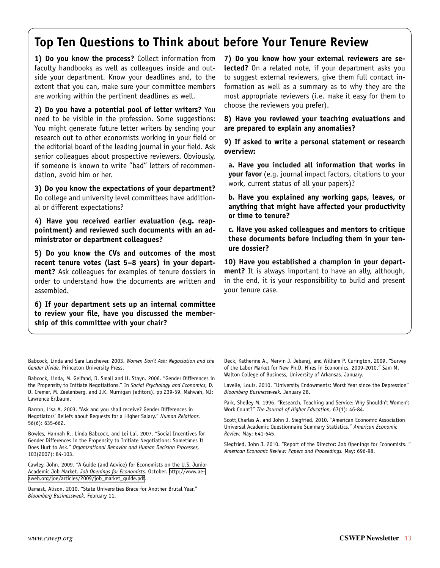## <span id="page-12-0"></span>**Top Ten Questions to Think about before Your Tenure Review**

**1) Do you know the process?** Collect information from faculty handbooks as well as colleagues inside and outside your department. Know your deadlines and, to the extent that you can, make sure your committee members are working within the pertinent deadlines as well.

**2) Do you have a potential pool of letter writers?** You need to be visible in the profession. Some suggestions: You might generate future letter writers by sending your research out to other economists working in your field or the editorial board of the leading journal in your field. Ask senior colleagues about prospective reviewers. Obviously, if someone is known to write "bad" letters of recommendation, avoid him or her.

**3) Do you know the expectations of your department?** Do college and university level committees have additional or different expectations?

**4) Have you received earlier evaluation (e.g. reappointment) and reviewed such documents with an administrator or department colleagues?** 

**5) Do you know the CVs and outcomes of the most recent tenure votes (last 5–8 years) in your department?** Ask colleagues for examples of tenure dossiers in order to understand how the documents are written and assembled.

**6) If your department sets up an internal committee to review your file, have you discussed the membership of this committee with your chair?**

**7) Do you know how your external reviewers are selected?** On a related note, if your department asks you to suggest external reviewers, give them full contact information as well as a summary as to why they are the most appropriate reviewers (i.e. make it easy for them to choose the reviewers you prefer).

**8) Have you reviewed your teaching evaluations and are prepared to explain any anomalies?**

**9) If asked to write a personal statement or research overview:**

**a. Have you included all information that works in your favor** (e.g. journal impact factors, citations to your work, current status of all your papers)?

**b. Have you explained any working gaps, leaves, or anything that might have affected your productivity or time to tenure?**

**c. Have you asked colleagues and mentors to critique these documents before including them in your tenure dossier?**

**10) Have you established a champion in your department?** It is always important to have an ally, although, in the end, it is your responsibility to build and present your tenure case.

Babcock, Linda and Sara Laschever. 2003. *Women Don't Ask: Negotiation and the Gender Divide.* Princeton University Press.

Babcock, Linda, M. Gelfand, D. Small and H. Stayn. 2006. "Gender Differences in the Propensity to Initiate Negotiations." In *Social Psychology and Economics,* D. D. Cremer, M. Zeelenberg, and J.K. Murnigan (editors). pp 239-59. Mahwah, NJ: Lawrence Erlbaum.

Barron, Lisa A. 2003. "Ask and you shall receive? Gender Differences in Negotiators' Beliefs about Requests for a Higher Salary." *Human Relations.*  56(6): 635-662.

Bowles, Hannah R., Linda Babcock, and Lei Lai. 2007. "Social Incentives for Gender Differences in the Propensity to Initiate Negotiations: Sometimes It Does Hurt to Ask." *Organizational Behavior and Human Decision Processes,*  103(2007): 84-103.

Cawley, John. 2009. "A Guide (and Advice) for Economists on the U.S. Junior Academic Job Market. *Job Openings for Economists,* October. [http://www.ae](http://www.aeaweb.org/joe/articles/2009/job_market_guide.pdf)[aweb.org/joe/articles/2009/job\\_market\\_guide.pdf.](http://www.aeaweb.org/joe/articles/2009/job_market_guide.pdf)

Damast, Alison. 2010. "State Universities Brace for Another Brutal Year." *Bloomberg Businessweek.* February 11.

Deck, Katherine A., Mervin J. Jebaraj, and William P. Curington. 2009. "Survey of the Labor Market for New Ph.D. Hires in Economics, 2009-2010." Sam M. Walton College of Business, University of Arkansas. January.

Lavelle, Louis. 2010. "University Endowments: Worst Year since the Depression" *Bloomberg Businessweek.* January 28.

Park, Shelley M. 1996. "Research, Teaching and Service: Why Shouldn't Women's Work Count?" *The Journal of Higher Education,* 67(1): 46-84.

Scott,Charles A. and John J. Siegfried. 2010. "American Economic Association Universal Academic Questionnaire Summary Statistics." *American Economic Review.* May: 641-645.

Siegfried, John J. 2010. "Report of the Director: Job Openings for Economists. " *American Economic Review: Papers and Proceedings.* May: 696-98.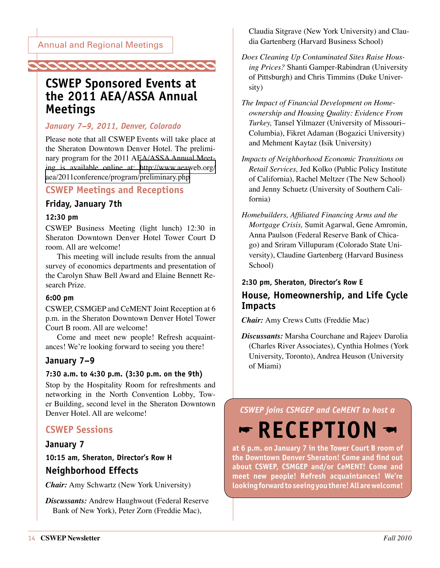<span id="page-13-0"></span>

## **CSWEP Sponsored Events at the 2011 AEA/ASSA Annual Meetings**

### *January 7–9, 2011, Denver, Colorado*

Please note that all CSWEP Events will take place at the Sheraton Downtown Denver Hotel. The preliminary program for the 2011 AEA/ASSA Annual Meeting is available online at: [http://www.aeaweb.org/](http://www.aeaweb.org/aea/2011conference/program/preliminary.php) [aea/2011conference/program/preliminary.php](http://www.aeaweb.org/aea/2011conference/program/preliminary.php)

### **CSWEP Meetings and Receptions**

### **Friday, January 7th**

#### **12:30 pm**

CSWEP Business Meeting (light lunch) 12:30 in Sheraton Downtown Denver Hotel Tower Court D room. All are welcome!

This meeting will include results from the annual survey of economics departments and presentation of the Carolyn Shaw Bell Award and Elaine Bennett Research Prize.

#### **6:00 pm**

CSWEP, CSMGEP and CeMENT Joint Reception at 6 p.m. in the Sheraton Downtown Denver Hotel Tower Court B room. All are welcome!

Come and meet new people! Refresh acquaintances! We're looking forward to seeing you there!

### **January 7–9**

#### **7:30 a.m. to 4:30 p.m. (3:30 p.m. on the 9th)**

Stop by the Hospitality Room for refreshments and networking in the North Convention Lobby, Tower Building, second level in the Sheraton Downtown Denver Hotel. All are welcome!

### **CSWEP Sessions**

### **January 7**

**10:15 am, Sheraton, Director's Row H Neighborhood Effects**

*Chair:* Amy Schwartz (New York University)

*Discussants:* Andrew Haughwout (Federal Reserve Bank of New York), Peter Zorn (Freddie Mac),

Claudia Sitgrave (New York University) and Claudia Gartenberg (Harvard Business School)

- *Does Cleaning Up Contaminated Sites Raise Housing Prices?* Shanti Gamper-Rabindran (University of Pittsburgh) and Chris Timmins (Duke University)
- *The Impact of Financial Development on Homeownership and Housing Quality: Evidence From Turkey,* Tansel Yilmazer (University of Missouri– Columbia), Fikret Adaman (Bogazici University) and Mehment Kaytaz (Isik University)
- *Impacts of Neighborhood Economic Transitions on Retail Services,* Jed Kolko (Public Policy Institute of California), Rachel Meltzer (The New School) and Jenny Schuetz (University of Southern California)
- *Homebuilders, Affiliated Financing Arms and the Mortgage Crisis,* Sumit Agarwal, Gene Amromin, Anna Paulson (Federal Reserve Bank of Chicago) and Sriram Villupuram (Colorado State University), Claudine Gartenberg (Harvard Business School)

### **2:30 pm, Sheraton, Director's Row E**

## **House, Homeownership, and Life Cycle Impacts**

*Chair:* Amy Crews Cutts (Freddie Mac)

*Discussants:* Marsha Courchane and Rajeev Darolia (Charles River Associates), Cynthia Holmes (York University, Toronto), Andrea Heuson (University of Miami)

### *CSWEP joins CSMGEP and CeMENT to host a*

# $\blacktriangleright$  RECEPTION  $\blacktriangleright$

**at 6 p.m. on January 7 in the Tower Court B room of the Downtown Denver Sheraton! Come and find out about CSWEP, CSMGEP and/or CeMENT! Come and meet new people! Refresh acquaintances! We're looking forward to seeing you there! All are welcome!**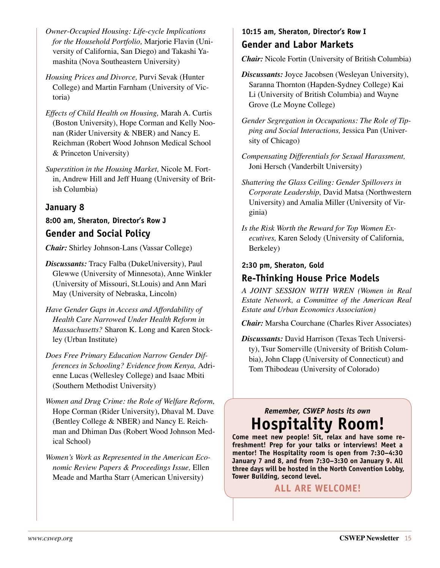- *Owner-Occupied Housing: Life-cycle Implications for the Household Portfolio,* Marjorie Flavin (University of California, San Diego) and Takashi Yamashita (Nova Southeastern University)
- *Housing Prices and Divorce,* Purvi Sevak (Hunter College) and Martin Farnham (University of Victoria)
- *Effects of Child Health on Housing,* Marah A. Curtis (Boston University), Hope Corman and Kelly Noonan (Rider University & NBER) and Nancy E. Reichman (Robert Wood Johnson Medical School & Princeton University)
- *Superstition in the Housing Market,* Nicole M. Fortin, Andrew Hill and Jeff Huang (University of British Columbia)

### **January 8**

### **8:00 am, Sheraton, Director's Row J Gender and Social Policy**

*Chair:* Shirley Johnson-Lans (Vassar College)

- *Discussants:* Tracy Falba (DukeUniversity), Paul Glewwe (University of Minnesota), Anne Winkler (University of Missouri, St.Louis) and Ann Mari May (University of Nebraska, Lincoln)
- *Have Gender Gaps in Access and Affordability of Health Care Narrowed Under Health Reform in Massachusetts?* Sharon K. Long and Karen Stockley (Urban Institute)
- *Does Free Primary Education Narrow Gender Differences in Schooling? Evidence from Kenya,* Adrienne Lucas (Wellesley College) and Isaac Mbiti (Southern Methodist University)
- *Women and Drug Crime: the Role of Welfare Reform,*  Hope Corman (Rider University), Dhaval M. Dave (Bentley College & NBER) and Nancy E. Reichman and Dhiman Das (Robert Wood Johnson Medical School)
- *Women's Work as Represented in the American Economic Review Papers & Proceedings Issue,* Ellen Meade and Martha Starr (American University)

### **10:15 am, Sheraton, Director's Row I Gender and Labor Markets**

*Chair:* Nicole Fortin (University of British Columbia)

- *Discussants:* Joyce Jacobsen (Wesleyan University), Saranna Thornton (Hapden-Sydney College) Kai Li (University of British Columbia) and Wayne Grove (Le Moyne College)
- *Gender Segregation in Occupations: The Role of Tipping and Social Interactions,* Jessica Pan (University of Chicago)
- *Compensating Differentials for Sexual Harassment,*  Joni Hersch (Vanderbilt University)
- *Shattering the Glass Ceiling: Gender Spillovers in Corporate Leadership,* David Matsa (Northwestern University) and Amalia Miller (University of Virginia)
- *Is the Risk Worth the Reward for Top Women Executives,* Karen Selody (University of California, Berkeley)

#### **2:30 pm, Sheraton, Gold**

### **Re-Thinking House Price Models**

*A JOINT SESSION WITH WREN (Women in Real Estate Network, a Committee of the American Real Estate and Urban Economics Association)*

*Chair:* Marsha Courchane (Charles River Associates)

*Discussants:* David Harrison (Texas Tech University), Tsur Somerville (University of British Columbia), John Clapp (University of Connecticut) and Tom Thibodeau (University of Colorado)

## *Remember, CSWEP hosts its own*  **Hospitality Room!**

**Come meet new people! Sit, relax and have some refreshment! Prep for your talks or interviews! Meet a mentor! The Hospitality room is open from 7:30–4:30 January 7 and 8, and from 7:30–3:30 on January 9. All three days will be hosted in the North Convention Lobby, Tower Building, second level.**

**All are welcome!**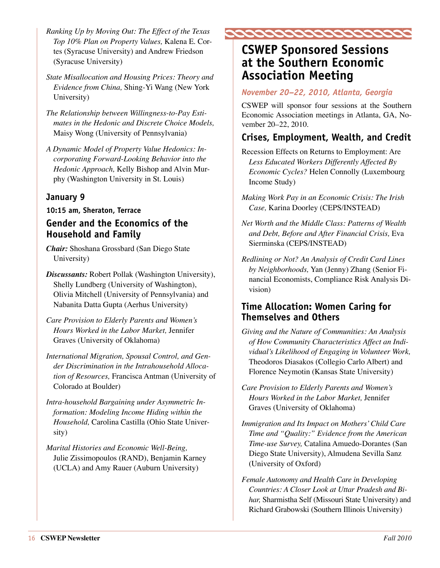- <span id="page-15-0"></span>*Ranking Up by Moving Out: The Effect of the Texas Top 10% Plan on Property Values,* Kalena E. Cortes (Syracuse University) and Andrew Friedson (Syracuse University)
- *State Misallocation and Housing Prices: Theory and Evidence from China,* Shing-Yi Wang (New York University)
- *The Relationship between Willingness-to-Pay Estimates in the Hedonic and Discrete Choice Models,*  Maisy Wong (University of Pennsylvania)
- *A Dynamic Model of Property Value Hedonics: Incorporating Forward-Looking Behavior into the Hedonic Approach,* Kelly Bishop and Alvin Murphy (Washington University in St. Louis)

### **January 9**

#### **10:15 am, Sheraton, Terrace**

### **Gender and the Economics of the Household and Family**

- *Chair:* Shoshana Grossbard (San Diego State University)
- *Discussants:* Robert Pollak (Washington University), Shelly Lundberg (University of Washington), Olivia Mitchell (University of Pennsylvania) and Nabanita Datta Gupta (Aerhus University)
- *Care Provision to Elderly Parents and Women's Hours Worked in the Labor Market,* Jennifer Graves (University of Oklahoma)
- *International Migration, Spousal Control, and Gender Discrimination in the Intrahousehold Allocation of Resources,* Francisca Antman (University of Colorado at Boulder)
- *Intra-household Bargaining under Asymmetric Information: Modeling Income Hiding within the Household,* Carolina Castilla (Ohio State University)
- *Marital Histories and Economic Well-Being,*  Julie Zissimopoulos (RAND), Benjamin Karney (UCLA) and Amy Rauer (Auburn University)



## **CSWEP Sponsored Sessions at the Southern Economic Association Meeting**

#### *November 20–22, 2010, Atlanta, Georgia*

CSWEP will sponsor four sessions at the Southern Economic Association meetings in Atlanta, GA, November 20–22, 2010.

### **Crises, Employment, Wealth, and Credit**

- Recession Effects on Returns to Employment: Are *Less Educated Workers Differently Affected By Economic Cycles?* Helen Connolly (Luxembourg Income Study)
- *Making Work Pay in an Economic Crisis: The Irish Case,* Karina Doorley (CEPS/INSTEAD)
- *Net Worth and the Middle Class: Patterns of Wealth and Debt, Before and After Financial Crisis,* Eva Sierminska (CEPS/INSTEAD)
- *Redlining or Not? An Analysis of Credit Card Lines by Neighborhoods,* Yan (Jenny) Zhang (Senior Financial Economists, Compliance Risk Analysis Division)

### **Time Allocation: Women Caring for Themselves and Others**

- *Giving and the Nature of Communities: An Analysis of How Community Characteristics Affect an Individual's Likelihood of Engaging in Volunteer Work,* Theodoros Diasakos (Collegio Carlo Albert) and Florence Neymotin (Kansas State University)
- *Care Provision to Elderly Parents and Women's Hours Worked in the Labor Market,* Jennifer Graves (University of Oklahoma)
- *Immigration and Its Impact on Mothers' Child Care Time and "Quality:" Evidence from the American Time-use Survey,* Catalina Amuedo-Dorantes (San Diego State University), Almudena Sevilla Sanz (University of Oxford)
- *Female Autonomy and Health Care in Developing Countries: A Closer Look at Uttar Pradesh and Bihar,* Sharmistha Self (Missouri State University) and Richard Grabowski (Southern Illinois University)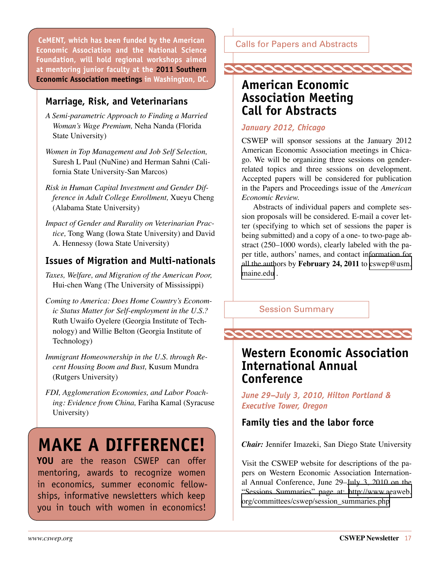Calls for Papers and Abstracts **CeMENT, which has been funded by the American Economic Association and the National Science Foundation, will hold regional workshops aimed at mentoring junior faculty at the 2011 Southern Economic Association meetings in Washington, DC.**

### **Marriage, Risk, and Veterinarians**

- *A Semi-parametric Approach to Finding a Married Woman's Wage Premium,* Neha Nanda (Florida State University)
- *Women in Top Management and Job Self Selection,* Suresh L Paul (NuNine) and Herman Sahni (California State University-San Marcos)
- *Risk in Human Capital Investment and Gender Difference in Adult College Enrollment,* Xueyu Cheng (Alabama State University)
- *Impact of Gender and Rurality on Veterinarian Practice,* Tong Wang (Iowa State University) and David A. Hennessy (Iowa State University)

## **Issues of Migration and Multi-nationals**

- *Taxes, Welfare, and Migration of the American Poor,* Hui-chen Wang (The University of Mississippi)
- *Coming to America: Does Home Country's Economic Status Matter for Self-employment in the U.S.?* Ruth Uwaifo Oyelere (Georgia Institute of Technology) and Willie Belton (Georgia Institute of Technology)
- *Immigrant Homeownership in the U.S. through Recent Housing Boom and Bust,* Kusum Mundra (Rutgers University)
- *FDI, Agglomeration Economies, and Labor Poaching: Evidence from China,* Fariha Kamal (Syracuse University)

# **make a difference!**

**YOU** are the reason CSWEP can offer mentoring, awards to recognize women in economics, summer economic fellowships, informative newsletters which keep you in touch with women in economics!

<span id="page-16-0"></span>



## **American Economic Association Meeting Call for Abstracts**

#### *January 2012, Chicago*

CSWEP will sponsor sessions at the January 2012 American Economic Association meetings in Chicago. We will be organizing three sessions on genderrelated topics and three sessions on development. Accepted papers will be considered for publication in the Papers and Proceedings issue of the *American Economic Review.* 

Abstracts of individual papers and complete session proposals will be considered. E-mail a cover letter (specifying to which set of sessions the paper is being submitted) and a copy of a one- to two-page abstract (250–1000 words), clearly labeled with the paper title, authors' names, and contact information for all the authors by **February 24, 2011** to [cswep@usm.](mailto:cswep@usm.maine.edu) [maine.edu](mailto:cswep@usm.maine.edu) .

Session Summary

**PERIODER CORRENTE** 

## **Western Economic Association International Annual Conference**

*June 29–July 3, 2010, Hilton Portland & Executive Tower, Oregon*

### **Family ties and the labor force**

*Chair:* Jennifer Imazeki, San Diego State University

Visit the CSWEP website for descriptions of the papers on Western Economic Association International Annual Conference, June 29–July 3, 2010 on the "Sessions Summaries" page at: [http://www.aeaweb.](http://www.aeaweb.org/committees/cswep/session_summaries.php) [org/committees/cswep/session\\_summaries.php](http://www.aeaweb.org/committees/cswep/session_summaries.php)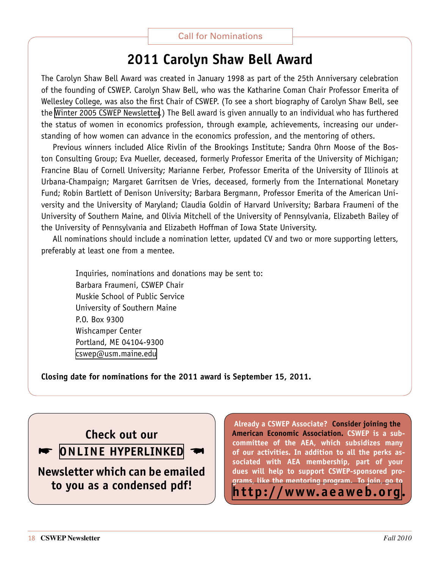## **2011 Carolyn Shaw Bell Award**

<span id="page-17-0"></span>The Carolyn Shaw Bell Award was created in January 1998 as part of the 25th Anniversary celebration of the founding of CSWEP. Carolyn Shaw Bell, who was the Katharine Coman Chair Professor Emerita of Wellesley College, was also the first Chair of CSWEP. (To see a short biography of Carolyn Shaw Bell, see the [Winter 2005 CSWEP Newsletter.](http://www.aeaweb.org/committees/cswep/newsletters.php)) The Bell award is given annually to an individual who has furthered the status of women in economics profession, through example, achievements, increasing our understanding of how women can advance in the economics profession, and the mentoring of others.

Previous winners included Alice Rivlin of the Brookings Institute; Sandra Ohrn Moose of the Boston Consulting Group; Eva Mueller, deceased, formerly Professor Emerita of the University of Michigan; Francine Blau of Cornell University; Marianne Ferber, Professor Emerita of the University of Illinois at Urbana-Champaign; Margaret Garritsen de Vries, deceased, formerly from the International Monetary Fund; Robin Bartlett of Denison University; Barbara Bergmann, Professor Emerita of the American University and the University of Maryland; Claudia Goldin of Harvard University; Barbara Fraumeni of the University of Southern Maine, and Olivia Mitchell of the University of Pennsylvania, Elizabeth Bailey of the University of Pennsylvania and Elizabeth Hoffman of Iowa State University.

All nominations should include a nomination letter, updated CV and two or more supporting letters, preferably at least one from a mentee.

Inquiries, nominations and donations may be sent to: Barbara Fraumeni, CSWEP Chair Muskie School of Public Service University of Southern Maine P.O. Box 9300 Wishcamper Center Portland, ME 04104-9300 [cswep@usm.maine.edu](mailto:cswep@usm.maine.edu)

**Closing date for nominations for the 2011 award is September 15, 2011.**

## **Check out our**

**online HyperLINKED** 

**Newsletter which can be emailed to you as a condensed pdf!**

**Already a CSWEP Associate? Consider joining the American Economic Association. CSWEP is a subcommittee of the AEA, which subsidizes many of our activities. In addition to all the perks associated with AEA membership, part of your dues will help to support CSWEP-sponsored programs, like the mentoring program. To join, go to <http://www.aeaweb.org>.**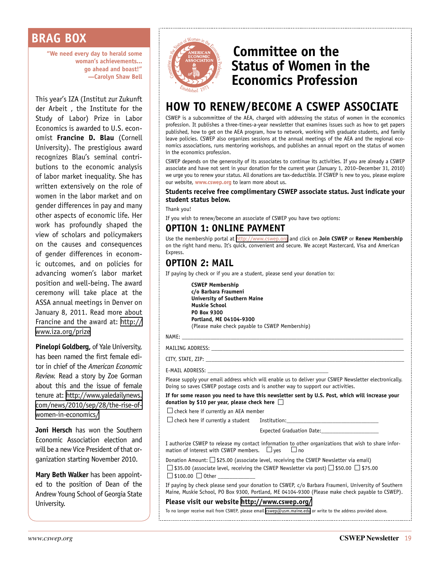## <span id="page-18-0"></span>**BRAG BOX**

**"We need every day to herald some woman's achievements... go ahead and boast!" —Carolyn Shaw Bell**

This year's IZA (Institut zur Zukunft der Arbeit , the Institute for the Study of Labor) Prize in Labor Economics is awarded to U.S. economist **Francine D. Blau** (Cornell University). The prestigious award recognizes Blau's seminal contributions to the economic analysis of labor market inequality. She has written extensively on the role of women in the labor market and on gender differences in pay and many other aspects of economic life. Her work has profoundly shaped the view of scholars and policymakers on the causes and consequences of gender differences in economic outcomes, and on policies for advancing women's labor market position and well-being. The award ceremony will take place at the ASSA annual meetings in Denver on January 8, 2011. Read more about Francine and the award at: [http://](http://www.iza.org/prize) [www.iza.org/prize](http://www.iza.org/prize)

**Pinelopi Goldberg,** of Yale University, has been named the first female editor in chief of the *American Economic Review.* Read a story by Zoe Gorman about this and the issue of female tenure at: [http://www.yaledailynews.](http://www.yaledailynews.com/news/2010/sep/28/the-rise-of-women-in-economics/) [com/news/2010/sep/28/the-rise-of](http://www.yaledailynews.com/news/2010/sep/28/the-rise-of-women-in-economics/)[women-in-economics/](http://www.yaledailynews.com/news/2010/sep/28/the-rise-of-women-in-economics/)

**Joni Hersch** has won the Southern Economic Association election and will be a new Vice President of that organization starting November 2010.

**Mary Beth Walker** has been appointed to the position of Dean of the Andrew Young School of Georgia State University.



## <span id="page-18-1"></span>**Committee on the Status of Women in the Economics Profession**

## **HOW TO RENEW/BECOME A CSWEP ASSOCIATE**

CSWEP is a subcommittee of the AEA, charged with addressing the status of women in the economics profession. It publishes a three-times-a-year newsletter that examines issues such as how to get papers published, how to get on the AEA program, how to network, working with graduate students, and family leave policies. CSWEP also organizes sessions at the annual meetings of the AEA and the regional economics associations, runs mentoring workshops, and publishes an annual report on the status of women in the economics profession.

CSWEP depends on the generosity of its associates to continue its activities. If you are already a CSWEP associate and have not sent in your donation for the current year (January 1, 2010–December 31, 2010) we urge you to renew your status. All donations are tax-deductible. If CSWEP is new to you, please explore our website, **[www.cswep.org](http://www.cswep.org)** to learn more about us.

#### **Students receive free complimentary CSWEP associate status. Just indicate your student status below.**

Thank you!

If you wish to renew/become an associate of CSWEP you have two options:

## **OPTION 1: ONLINE PAYMENT**

Use the membership portal at <http://www.cswep.org> and click on **Join CSWEP** or **Renew Membership** on the right hand menu. It's quick, convenient and secure. We accept Mastercard, Visa and American Express.

### **OPTION 2: MAIL**

If paying by check or if you are a student, please send your donation to:

**CSWEP Membership c/o Barbara Fraumeni University of Southern Maine Muskie School PO Box 9300 Portland, ME 04104-9300** (Please make check payable to CSWEP Membership)

NAME: \_\_\_\_\_\_\_\_\_\_\_\_\_\_\_\_\_\_\_\_\_\_\_\_\_\_\_\_\_\_\_\_\_\_\_\_\_\_\_\_\_\_\_\_\_\_\_\_\_\_\_\_\_\_\_\_\_\_\_\_\_\_\_\_\_\_\_\_\_\_\_\_\_\_\_\_\_

MAILING ADDRESS: \_\_\_\_\_\_\_\_\_\_\_\_\_\_\_\_\_\_\_\_\_\_\_\_\_\_\_\_\_\_\_\_\_\_\_\_\_\_\_\_\_\_\_\_\_\_\_\_\_\_\_\_\_\_\_\_\_\_\_\_\_\_\_\_\_\_\_

CITY, STATE, ZIP:

E-MAIL ADDRESS:

Please supply your email address which will enable us to deliver your CSWEP Newsletter electronically. Doing so saves CSWEP postage costs and is another way to support our activities.

**If for some reason you need to have this newsletter sent by U.S. Post, which will increase your donation by \$10 per year, please check here** 

 $\Box$  check here if currently an AEA member

 $\Box$  check here if currently a student Institution:

Expected Graduation Date:

I authorize CSWEP to release my contact information to other organizations that wish to share information of interest with CSWEP members.  $\Box$  yes  $\Box$  no

Donation Amount:  $\square$  \$25.00 (associate level, receiving the CSWEP Newsletter via email)  $\Box$  \$35.00 (associate level, receiving the CSWEP Newsletter via post)  $\Box$  \$50.00  $\Box$  \$75.00  $\Box$  \$100.00  $\Box$  Other

If paying by check please send your donation to CSWEP, c/o Barbara Fraumeni, University of Southern Maine, Muskie School, PO Box 9300, Portland, ME 04104-9300 (Please make check payable to CSWEP).

#### **Please visit our website <http://www.cswep.org/>**

To no longer receive mail from CSWEP, please email [cswep@usm.maine.edu](mailto:cswep@usm.maine.edu) or write to the address provided above.